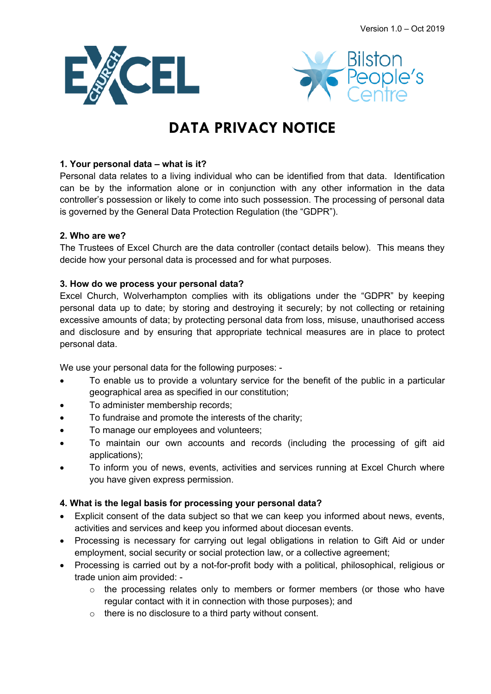



# **DATA PRIVACY NOTICE**

## **1. Your personal data – what is it?**

Personal data relates to a living individual who can be identified from that data. Identification can be by the information alone or in conjunction with any other information in the data controller's possession or likely to come into such possession. The processing of personal data is governed by the General Data Protection Regulation (the "GDPR").

## **2. Who are we?**

The Trustees of Excel Church are the data controller (contact details below). This means they decide how your personal data is processed and for what purposes.

## **3. How do we process your personal data?**

Excel Church, Wolverhampton complies with its obligations under the "GDPR" by keeping personal data up to date; by storing and destroying it securely; by not collecting or retaining excessive amounts of data; by protecting personal data from loss, misuse, unauthorised access and disclosure and by ensuring that appropriate technical measures are in place to protect personal data.

We use your personal data for the following purposes: -

- To enable us to provide a voluntary service for the benefit of the public in a particular geographical area as specified in our constitution;
- To administer membership records;
- To fundraise and promote the interests of the charity;
- To manage our employees and volunteers;
- To maintain our own accounts and records (including the processing of gift aid applications);
- To inform you of news, events, activities and services running at Excel Church where you have given express permission.

# **4. What is the legal basis for processing your personal data?**

- Explicit consent of the data subject so that we can keep you informed about news, events, activities and services and keep you informed about diocesan events.
- Processing is necessary for carrying out legal obligations in relation to Gift Aid or under employment, social security or social protection law, or a collective agreement;
- Processing is carried out by a not-for-profit body with a political, philosophical, religious or trade union aim provided:
	- o the processing relates only to members or former members (or those who have regular contact with it in connection with those purposes); and
	- o there is no disclosure to a third party without consent.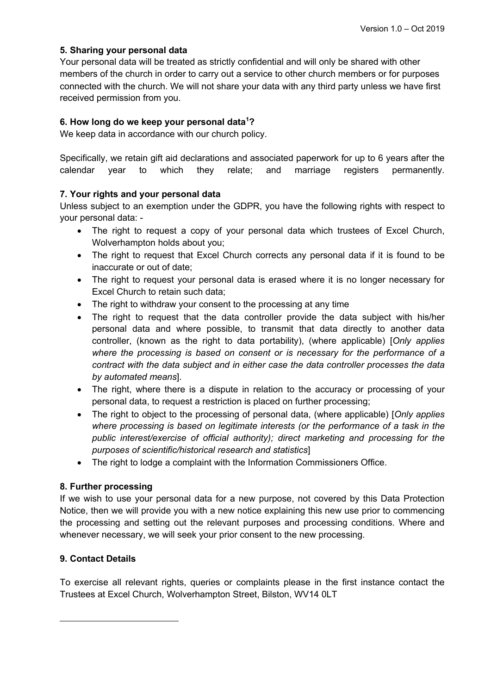#### **5. Sharing your personal data**

Your personal data will be treated as strictly confidential and will only be shared with other members of the church in order to carry out a service to other church members or for purposes connected with the church. We will not share your data with any third party unless we have first received permission from you.

#### **6. How long do we keep your personal data<sup>1</sup> ?**

We keep data in accordance with our church policy.

Specifically, we retain gift aid declarations and associated paperwork for up to 6 years after the calendar year to which they relate; and marriage registers permanently.

## **7. Your rights and your personal data**

Unless subject to an exemption under the GDPR, you have the following rights with respect to your personal data: -

- The right to request a copy of your personal data which trustees of Excel Church, Wolverhampton holds about you;
- The right to request that Excel Church corrects any personal data if it is found to be inaccurate or out of date;
- The right to request your personal data is erased where it is no longer necessary for Excel Church to retain such data;
- The right to withdraw your consent to the processing at any time
- The right to request that the data controller provide the data subject with his/her personal data and where possible, to transmit that data directly to another data controller, (known as the right to data portability), (where applicable) [*Only applies where the processing is based on consent or is necessary for the performance of a contract with the data subject and in either case the data controller processes the data by automated means*].
- The right, where there is a dispute in relation to the accuracy or processing of your personal data, to request a restriction is placed on further processing;
- The right to object to the processing of personal data, (where applicable) [*Only applies where processing is based on legitimate interests (or the performance of a task in the public interest/exercise of official authority); direct marketing and processing for the purposes of scientific/historical research and statistics*]
- The right to lodge a complaint with the Information Commissioners Office.

#### **8. Further processing**

If we wish to use your personal data for a new purpose, not covered by this Data Protection Notice, then we will provide you with a new notice explaining this new use prior to commencing the processing and setting out the relevant purposes and processing conditions. Where and whenever necessary, we will seek your prior consent to the new processing.

# **9. Contact Details**

To exercise all relevant rights, queries or complaints please in the first instance contact the Trustees at Excel Church, Wolverhampton Street, Bilston, WV14 0LT